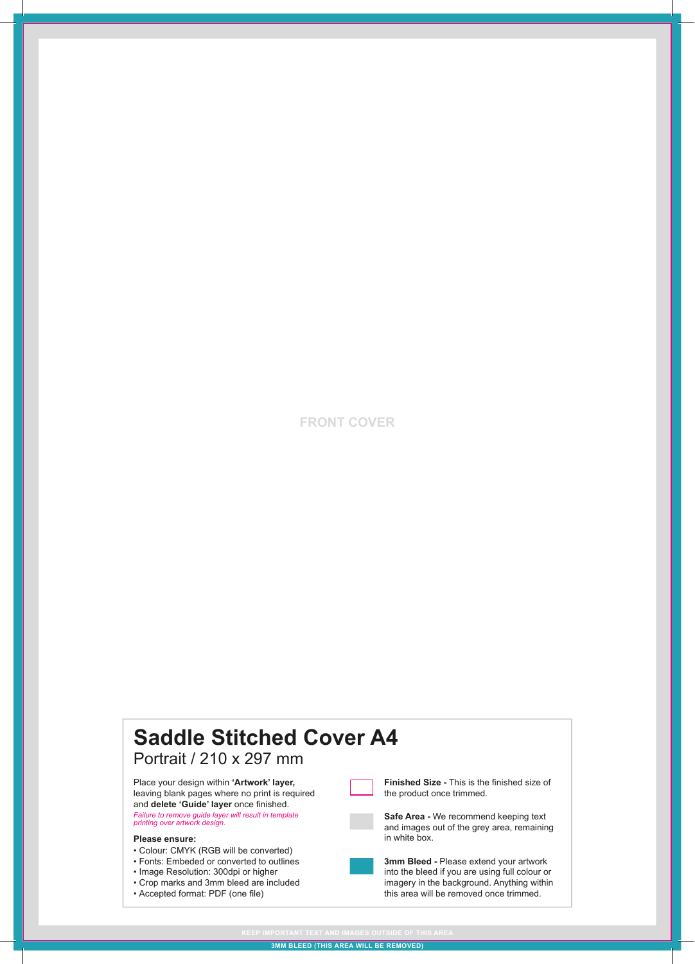## **FRONT COVER**

## **Saddle Stitched Cover A4** Portrait / 210 x 297 mm • Colour: CMYK (RGB will be converted) • Fonts: Embeded or converted to outlines • Image Resolution: 300dpi or higher • Crop marks and 3mm bleed are included • Accepted format: PDF (one file) **Please ensure: Finished Size -** This is the finished size of the product once trimmed. **Safe Area -** We recommend keeping text and images out of the grey area, remaining in white box. **3mm Bleed -** Please extend your artwork into the bleed if you are using full colour or imagery in the background. Anything within this area will be removed once trimmed. Place your design within **'Artwork' layer,**  leaving blank pages where no print is required and **delete 'Guide' layer** once finished. *Failure to remove guide layer will result in template printing over artwork design.*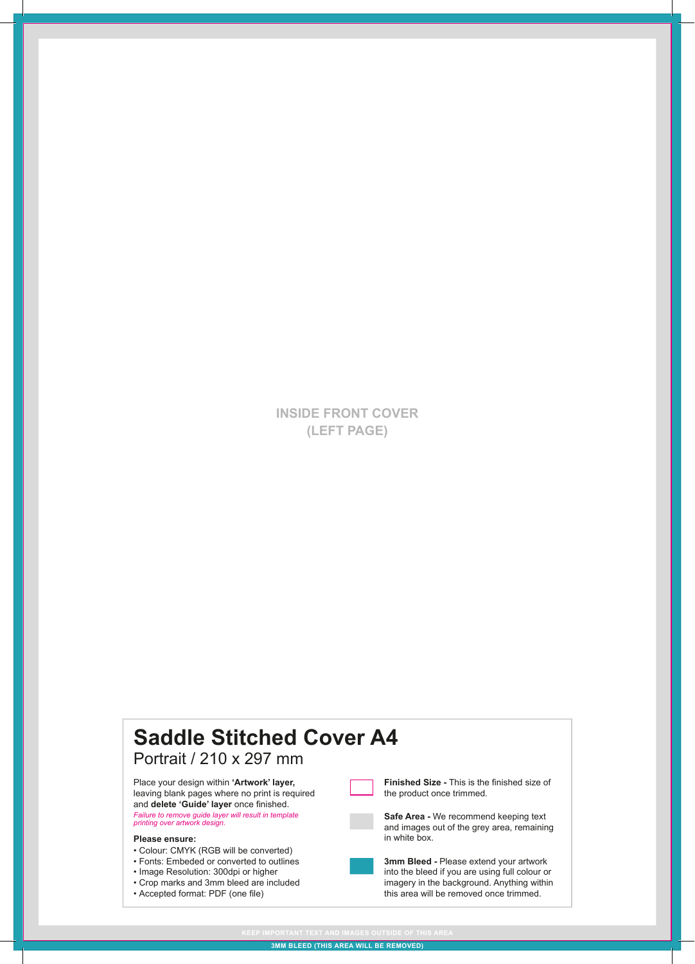**INSIDE FRONT COVER (LEFT PAGE)**

#### **Saddle Stitched Cover A4** Portrait / 210 x 297 mm • Colour: CMYK (RGB will be converted) • Fonts: Embeded or converted to outlines • Image Resolution: 300dpi or higher • Crop marks and 3mm bleed are included • Accepted format: PDF (one file) **Please ensure: Finished Size -** This is the finished size of the product once trimmed. **Safe Area -** We recommend keeping text and images out of the grey area, remaining in white box. **3mm Bleed -** Please extend your artwork into the bleed if you are using full colour or imagery in the background. Anything within this area will be removed once trimmed. Place your design within **'Artwork' layer,**  leaving blank pages where no print is required and **delete 'Guide' layer** once finished. *Failure to remove guide layer will result in template printing over artwork design.*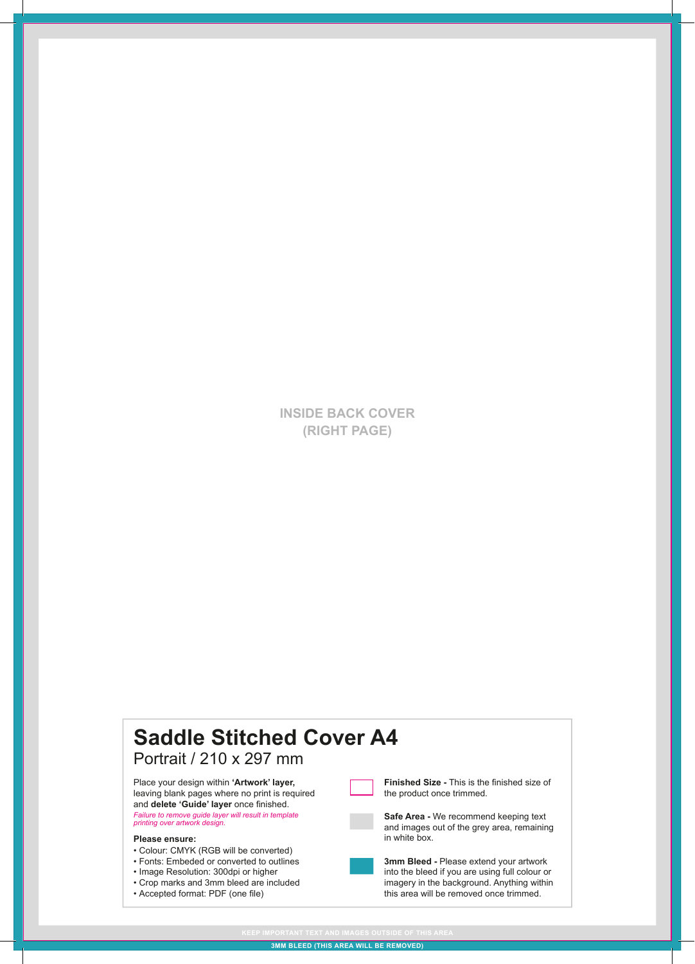**INSIDE BACK COVER (RIGHT PAGE)**

#### **Saddle Stitched Cover A4** Portrait / 210 x 297 mm • Colour: CMYK (RGB will be converted) • Fonts: Embeded or converted to outlines • Image Resolution: 300dpi or higher • Crop marks and 3mm bleed are included • Accepted format: PDF (one file) **Please ensure: Finished Size -** This is the finished size of the product once trimmed. **Safe Area -** We recommend keeping text and images out of the grey area, remaining in white box. **3mm Bleed -** Please extend your artwork into the bleed if you are using full colour or imagery in the background. Anything within this area will be removed once trimmed. Place your design within **'Artwork' layer,**  leaving blank pages where no print is required and **delete 'Guide' layer** once finished. *Failure to remove guide layer will result in template printing over artwork design.*